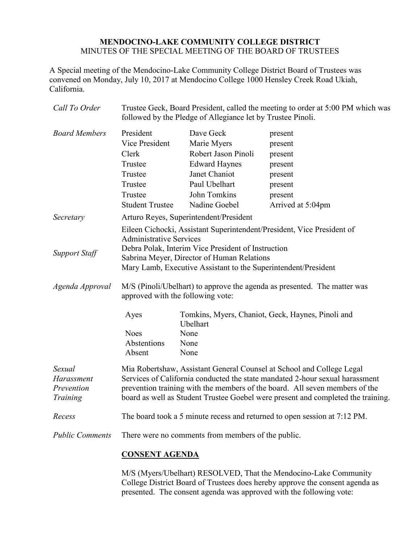## **MENDOCINO-LAKE COMMUNITY COLLEGE DISTRICT** MINUTES OF THE SPECIAL MEETING OF THE BOARD OF TRUSTEES

A Special meeting of the Mendocino-Lake Community College District Board of Trustees was convened on Monday, July 10, 2017 at Mendocino College 1000 Hensley Creek Road Ukiah, California.

| Call To Order          | Trustee Geck, Board President, called the meeting to order at 5:00 PM which was<br>followed by the Pledge of Allegiance let by Trustee Pinoli. |                       |                                                   |  |
|------------------------|------------------------------------------------------------------------------------------------------------------------------------------------|-----------------------|---------------------------------------------------|--|
| <b>Board Members</b>   | President                                                                                                                                      | Dave Geck             | present                                           |  |
|                        | Vice President                                                                                                                                 | Marie Myers           | present                                           |  |
|                        | Clerk                                                                                                                                          | Robert Jason Pinoli   | present                                           |  |
|                        | Trustee                                                                                                                                        | <b>Edward Haynes</b>  | present                                           |  |
|                        | Trustee                                                                                                                                        | Janet Chaniot         | present                                           |  |
|                        | Trustee                                                                                                                                        | Paul Ubelhart         | present                                           |  |
|                        | Trustee                                                                                                                                        | John Tomkins          | present                                           |  |
|                        | <b>Student Trustee</b>                                                                                                                         | Nadine Goebel         | Arrived at 5:04pm                                 |  |
| Secretary              | Arturo Reyes, Superintendent/President                                                                                                         |                       |                                                   |  |
|                        | Eileen Cichocki, Assistant Superintendent/President, Vice President of<br><b>Administrative Services</b>                                       |                       |                                                   |  |
| <b>Support Staff</b>   | Debra Polak, Interim Vice President of Instruction                                                                                             |                       |                                                   |  |
|                        | Sabrina Meyer, Director of Human Relations<br>Mary Lamb, Executive Assistant to the Superintendent/President                                   |                       |                                                   |  |
| Agenda Approval        | M/S (Pinoli/Ubelhart) to approve the agenda as presented. The matter was<br>approved with the following vote:                                  |                       |                                                   |  |
|                        | Ayes                                                                                                                                           | Ubelhart              | Tomkins, Myers, Chaniot, Geck, Haynes, Pinoli and |  |
|                        | <b>Noes</b>                                                                                                                                    | None                  |                                                   |  |
|                        | Abstentions                                                                                                                                    | None                  |                                                   |  |
|                        | Absent                                                                                                                                         | None                  |                                                   |  |
| Sexual                 | Mia Robertshaw, Assistant General Counsel at School and College Legal                                                                          |                       |                                                   |  |
| Harassment             | Services of California conducted the state mandated 2-hour sexual harassment                                                                   |                       |                                                   |  |
| Prevention             | prevention training with the members of the board. All seven members of the                                                                    |                       |                                                   |  |
| Training               | board as well as Student Trustee Goebel were present and completed the training.                                                               |                       |                                                   |  |
| Recess                 | The board took a 5 minute recess and returned to open session at 7:12 PM.                                                                      |                       |                                                   |  |
| <b>Public Comments</b> | There were no comments from members of the public.                                                                                             |                       |                                                   |  |
|                        |                                                                                                                                                | <b>CONSENT AGENDA</b> |                                                   |  |

M/S (Myers/Ubelhart) RESOLVED, That the Mendocino-Lake Community College District Board of Trustees does hereby approve the consent agenda as presented. The consent agenda was approved with the following vote: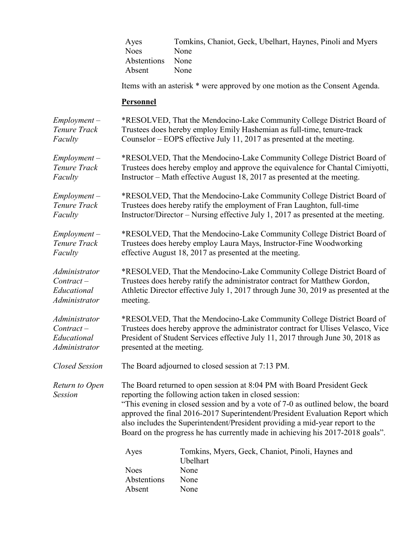|                                  | Ayes<br><b>Noes</b><br>Abstentions<br>Absent                                                                                                                                                                                                                                                                                                                                                                                                                                | Tomkins, Chaniot, Geck, Ubelhart, Haynes, Pinoli and Myers<br>None<br>None<br>None    |  |
|----------------------------------|-----------------------------------------------------------------------------------------------------------------------------------------------------------------------------------------------------------------------------------------------------------------------------------------------------------------------------------------------------------------------------------------------------------------------------------------------------------------------------|---------------------------------------------------------------------------------------|--|
|                                  | Items with an asterisk * were approved by one motion as the Consent Agenda.<br><b>Personnel</b>                                                                                                                                                                                                                                                                                                                                                                             |                                                                                       |  |
|                                  |                                                                                                                                                                                                                                                                                                                                                                                                                                                                             |                                                                                       |  |
| $Employment -$                   | *RESOLVED, That the Mendocino-Lake Community College District Board of                                                                                                                                                                                                                                                                                                                                                                                                      |                                                                                       |  |
| Tenure Track                     | Trustees does hereby employ Emily Hashemian as full-time, tenure-track                                                                                                                                                                                                                                                                                                                                                                                                      |                                                                                       |  |
| Faculty                          | Counselor – EOPS effective July 11, 2017 as presented at the meeting.                                                                                                                                                                                                                                                                                                                                                                                                       |                                                                                       |  |
| $Employment -$                   | *RESOLVED, That the Mendocino-Lake Community College District Board of                                                                                                                                                                                                                                                                                                                                                                                                      |                                                                                       |  |
| Tenure Track                     | Trustees does hereby employ and approve the equivalence for Chantal Cimiyotti,                                                                                                                                                                                                                                                                                                                                                                                              |                                                                                       |  |
| Faculty                          | Instructor – Math effective August 18, 2017 as presented at the meeting.                                                                                                                                                                                                                                                                                                                                                                                                    |                                                                                       |  |
| $Employment -$                   | *RESOLVED, That the Mendocino-Lake Community College District Board of                                                                                                                                                                                                                                                                                                                                                                                                      |                                                                                       |  |
| Tenure Track                     | Trustees does hereby ratify the employment of Fran Laughton, full-time                                                                                                                                                                                                                                                                                                                                                                                                      |                                                                                       |  |
| Faculty                          | Instructor/Director – Nursing effective July 1, 2017 as presented at the meeting.                                                                                                                                                                                                                                                                                                                                                                                           |                                                                                       |  |
| $Employment -$                   | *RESOLVED, That the Mendocino-Lake Community College District Board of                                                                                                                                                                                                                                                                                                                                                                                                      |                                                                                       |  |
| Tenure Track                     | Trustees does hereby employ Laura Mays, Instructor-Fine Woodworking                                                                                                                                                                                                                                                                                                                                                                                                         |                                                                                       |  |
| Faculty                          | effective August 18, 2017 as presented at the meeting.                                                                                                                                                                                                                                                                                                                                                                                                                      |                                                                                       |  |
| Administrator                    | *RESOLVED, That the Mendocino-Lake Community College District Board of                                                                                                                                                                                                                                                                                                                                                                                                      |                                                                                       |  |
| $Contract -$                     | Trustees does hereby ratify the administrator contract for Matthew Gordon,                                                                                                                                                                                                                                                                                                                                                                                                  |                                                                                       |  |
| Educational                      | Athletic Director effective July 1, 2017 through June 30, 2019 as presented at the                                                                                                                                                                                                                                                                                                                                                                                          |                                                                                       |  |
| Administrator                    | meeting.                                                                                                                                                                                                                                                                                                                                                                                                                                                                    |                                                                                       |  |
| Administrator                    | *RESOLVED, That the Mendocino-Lake Community College District Board of                                                                                                                                                                                                                                                                                                                                                                                                      |                                                                                       |  |
| $Contract -$                     | Trustees does hereby approve the administrator contract for Ulises Velasco, Vice                                                                                                                                                                                                                                                                                                                                                                                            |                                                                                       |  |
| Educational                      | President of Student Services effective July 11, 2017 through June 30, 2018 as                                                                                                                                                                                                                                                                                                                                                                                              |                                                                                       |  |
| Administrator                    | presented at the meeting.                                                                                                                                                                                                                                                                                                                                                                                                                                                   |                                                                                       |  |
| <b>Closed Session</b>            | The Board adjourned to closed session at 7:13 PM.                                                                                                                                                                                                                                                                                                                                                                                                                           |                                                                                       |  |
| Return to Open<br><b>Session</b> | The Board returned to open session at 8:04 PM with Board President Geck<br>reporting the following action taken in closed session:<br>"This evening in closed session and by a vote of 7-0 as outlined below, the board<br>approved the final 2016-2017 Superintendent/President Evaluation Report which<br>also includes the Superintendent/President providing a mid-year report to the<br>Board on the progress he has currently made in achieving his 2017-2018 goals". |                                                                                       |  |
|                                  | Ayes<br><b>Noes</b><br>Abstentions<br>Absent                                                                                                                                                                                                                                                                                                                                                                                                                                | Tomkins, Myers, Geck, Chaniot, Pinoli, Haynes and<br>Ubelhart<br>None<br>None<br>None |  |